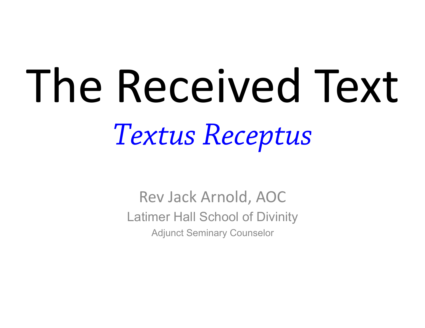# The Received Text *Textus Receptus*

Rev Jack Arnold, AOC Latimer Hall School of Divinity Adjunct Seminary Counselor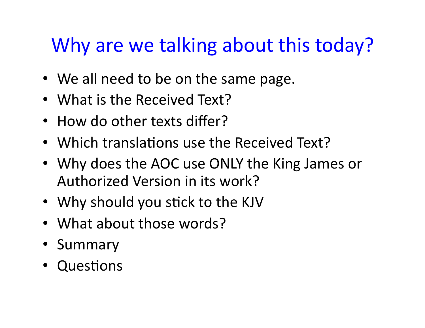#### Why are we talking about this today?

- We all need to be on the same page.
- What is the Received Text?
- How do other texts differ?
- Which translations use the Received Text?
- Why does the AOC use ONLY the King James or Authorized Version in its work?
- Why should you stick to the KJV
- What about those words?
- Summary
- Questions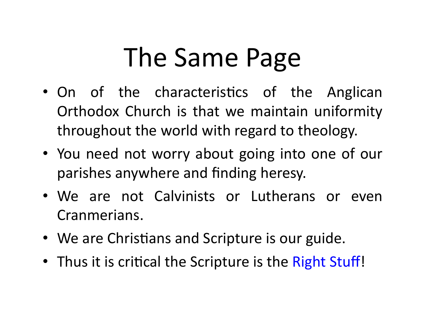# The Same Page

- On of the characteristics of the Anglican Orthodox Church is that we maintain uniformity throughout the world with regard to theology.
- You need not worry about going into one of our parishes anywhere and finding heresy.
- We are not Calvinists or Lutherans or even Cranmerians.
- We are Christians and Scripture is our guide.
- Thus it is critical the Scripture is the Right Stuff!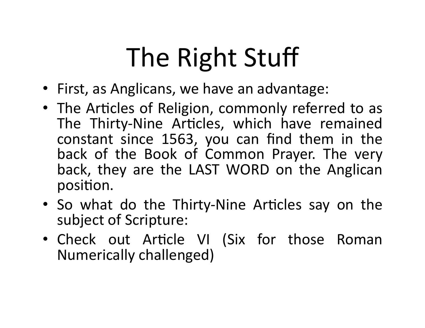# The Right Stuff

- First, as Anglicans, we have an advantage:
- The Articles of Religion, commonly referred to as The Thirty-Nine Articles, which have remained constant since 1563, you can find them in the back of the Book of Common Prayer. The very back, they are the LAST WORD on the Anglican position.
- So what do the Thirty-Nine Articles say on the subject of Scripture:
- Check out Article VI (Six for those Roman Numerically challenged)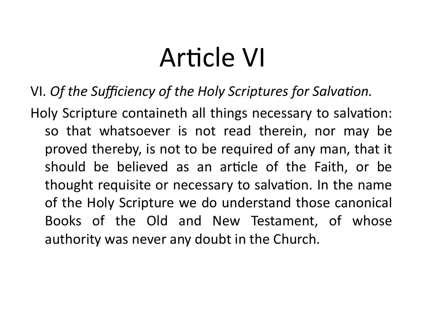# Article VI

VI. Of the Sufficiency of the Holy Scriptures for Salvation.

Holy Scripture containeth all things necessary to salvation: so that whatsoever is not read therein, nor may be proved thereby, is not to be required of any man, that it should be believed as an article of the Faith, or be thought requisite or necessary to salvation. In the name of the Holy Scripture we do understand those canonical Books of the Old and New Testament, of whose authority was never any doubt in the Church.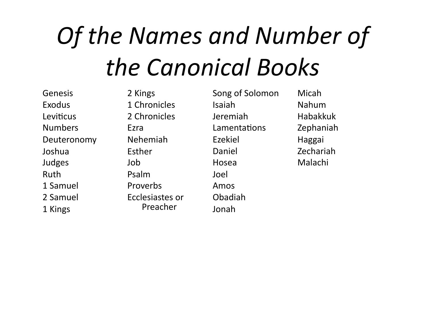# *Of the Names and Number of the Canonical Books*

Genesis Exodus Leviticus Numbers Deuteronomy Joshua Judges Ruth 1 Samuel 2 Samuel 1 Kings 

2 Kings 1 Chronicles 2 Chronicles Ezra Nehemiah Esther Job Psalm Proverbs Ecclesiastes or Preacher 

Song of Solomon Isaiah Jeremiah Lamentations Ezekiel Daniel Hosea Joel Amos Obadiah Jonah 

Micah Nahum Habakkuk Zephaniah Haggai Zechariah Malachi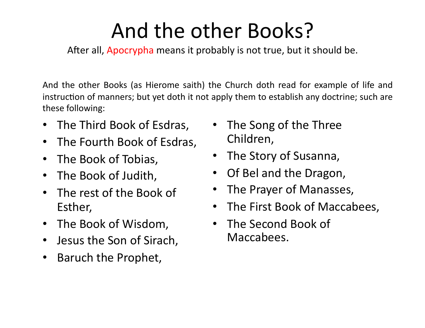### And the other Books?

After all, Apocrypha means it probably is not true, but it should be.

And the other Books (as Hierome saith) the Church doth read for example of life and instruction of manners; but yet doth it not apply them to establish any doctrine; such are these following:

- The Third Book of Esdras,
- The Fourth Book of Esdras,
- The Book of Tobias,
- The Book of Judith,
- The rest of the Book of Esther,
- The Book of Wisdom,
- Jesus the Son of Sirach,
- Baruch the Prophet,
- The Song of the Three Children,
- The Story of Susanna,
- Of Bel and the Dragon,
- The Prayer of Manasses,
- The First Book of Maccabees,
- The Second Book of Maccabees.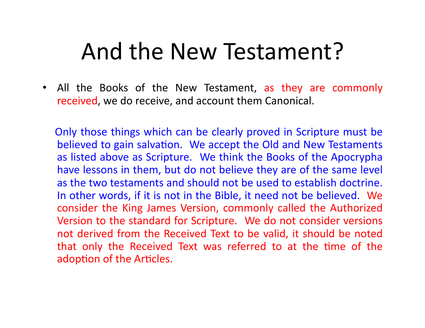#### And the New Testament?

• All the Books of the New Testament, as they are commonly received, we do receive, and account them Canonical.

Only those things which can be clearly proved in Scripture must be believed to gain salvation. We accept the Old and New Testaments as listed above as Scripture. We think the Books of the Apocrypha have lessons in them, but do not believe they are of the same level as the two testaments and should not be used to establish doctrine. In other words, if it is not in the Bible, it need not be believed. We consider the King James Version, commonly called the Authorized Version to the standard for Scripture. We do not consider versions not derived from the Received Text to be valid, it should be noted that only the Received Text was referred to at the time of the adoption of the Articles.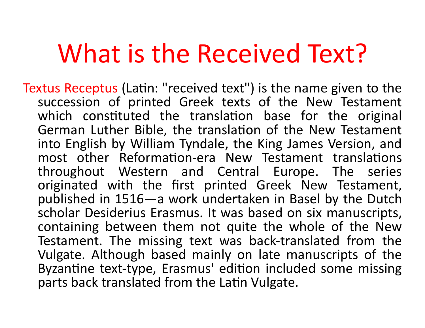# What is the Received Text?

Textus Receptus (Latin: "received text") is the name given to the succession of printed Greek texts of the New Testament which constituted the translation base for the original German Luther Bible, the translation of the New Testament into English by William Tyndale, the King James Version, and most other Reformation-era New Testament translations throughout Western and Central Europe. The series originated with the first printed Greek New Testament, published in 1516—a work undertaken in Basel by the Dutch scholar Desiderius Erasmus. It was based on six manuscripts, containing between them not quite the whole of the New Testament. The missing text was back-translated from the Vulgate. Although based mainly on late manuscripts of the Byzantine text-type, Erasmus' edition included some missing parts back translated from the Latin Vulgate.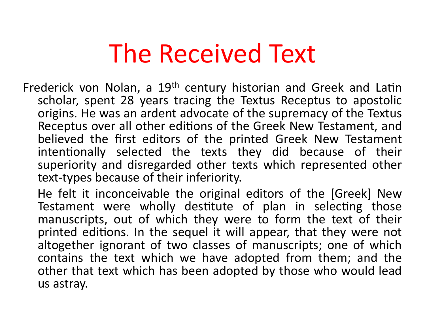# The Received Text

- Frederick von Nolan, a  $19<sup>th</sup>$  century historian and Greek and Latin scholar, spent 28 years tracing the Textus Receptus to apostolic origins. He was an ardent advocate of the supremacy of the Textus Receptus over all other editions of the Greek New Testament, and believed the first editors of the printed Greek New Testament intentionally selected the texts they did because of their superiority and disregarded other texts which represented other text-types because of their inferiority.
	- He felt it inconceivable the original editors of the [Greek] New Testament were wholly destitute of plan in selecting those manuscripts, out of which they were to form the text of their printed editions. In the sequel it will appear, that they were not altogether ignorant of two classes of manuscripts; one of which contains the text which we have adopted from them; and the other that text which has been adopted by those who would lead us astray.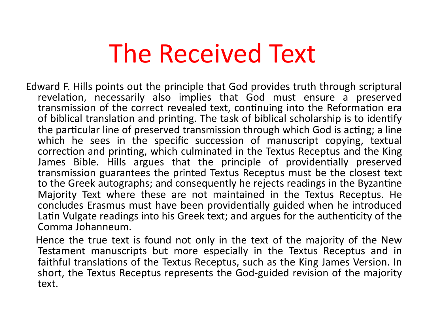# The Received Text

Edward F. Hills points out the principle that God provides truth through scriptural revelation, necessarily also implies that God must ensure a preserved transmission of the correct revealed text, continuing into the Reformation era of biblical translation and printing. The task of biblical scholarship is to identify the particular line of preserved transmission through which God is acting; a line which he sees in the specific succession of manuscript copying, textual correction and printing, which culminated in the Textus Receptus and the King James Bible. Hills argues that the principle of providentially preserved transmission guarantees the printed Textus Receptus must be the closest text to the Greek autographs; and consequently he rejects readings in the Byzantine Majority Text where these are not maintained in the Textus Receptus. He concludes Erasmus must have been providentially guided when he introduced Latin Vulgate readings into his Greek text; and argues for the authenticity of the Comma Johanneum. 

Hence the true text is found not only in the text of the majority of the New Testament manuscripts but more especially in the Textus Receptus and in faithful translations of the Textus Receptus, such as the King James Version. In short, the Textus Receptus represents the God-guided revision of the majority text.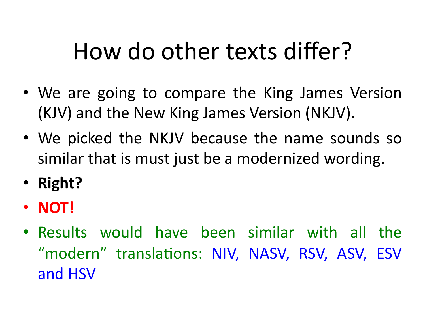- We are going to compare the King James Version (KJV) and the New King James Version (NKJV).
- We picked the NKJV because the name sounds so similar that is must just be a modernized wording.
- **Right?**
- **NOT!**
- Results would have been similar with all the "modern" translations: NIV, NASV, RSV, ASV, ESV and HSV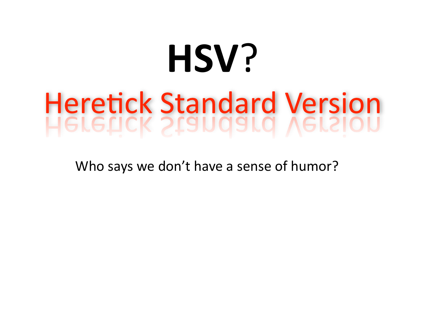### **HSV**? **Heretick Standard Version ETETICK STANDAIOI** VELSI

Who says we don't have a sense of humor?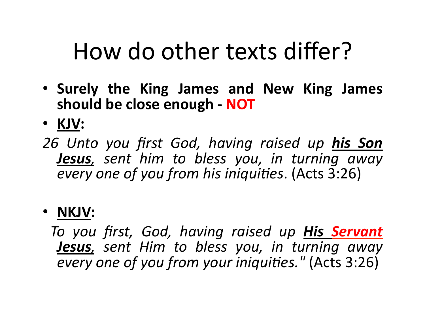- **Surely the King James and New King James**  should be close enough - NOT
- **KJV:**
- *26 Unto you first God, having raised up his Son*  **Jesus**, sent him to bless you, in turning away *every* one of you from his iniquities. (Acts 3:26)

#### • **NKJV:**

*To you first, God, having raised up His Servant*  **Jesus**, sent Him to bless you, in turning away *every one of you from your iniquities."* (Acts 3:26)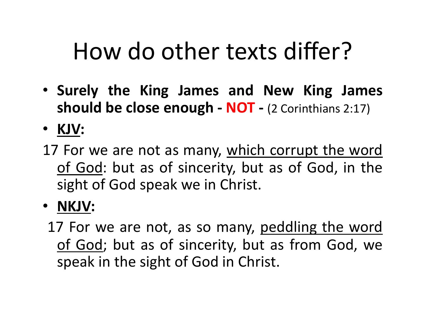- **Surely the King James and New King James should be close enough - NOT - (2 Corinthians 2:17)**
- **KJV:**
- 17 For we are not as many, which corrupt the word of God: but as of sincerity, but as of God, in the sight of God speak we in Christ.
- **NKJV:** 
	- 17 For we are not, as so many, peddling the word of God; but as of sincerity, but as from God, we speak in the sight of God in Christ.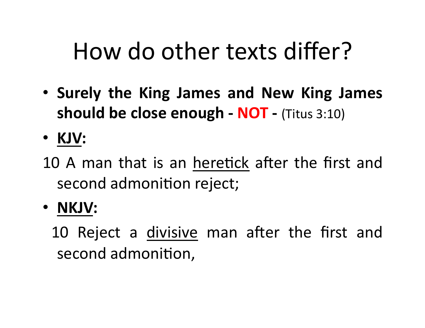- **Surely the King James and New King James should be close enough - NOT - (Titus 3:10)**
- **KJV:**
- 10 A man that is an heretick after the first and second admonition reject;
- **NKJV:**

10 Reject a divisive man after the first and second admonition,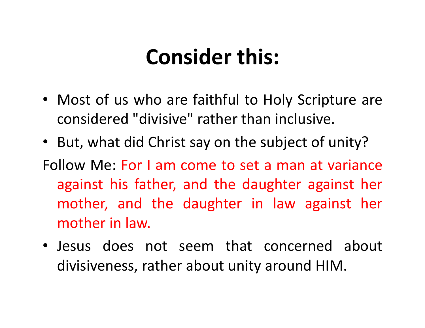#### **Consider this:**

- Most of us who are faithful to Holy Scripture are considered "divisive" rather than inclusive.
- But, what did Christ say on the subject of unity?
- Follow Me: For I am come to set a man at variance against his father, and the daughter against her mother, and the daughter in law against her mother in law.
- Jesus does not seem that concerned about divisiveness, rather about unity around HIM.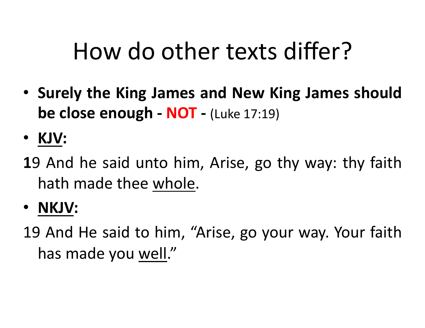- Surely the King James and New King James should **be close enough - NOT -** (Luke 17:19)
- **KJV:**
- **1**9 And he said unto him, Arise, go thy way: thy faith hath made thee whole.
- **NKJV:**

19 And He said to him, "Arise, go your way. Your faith has made you well."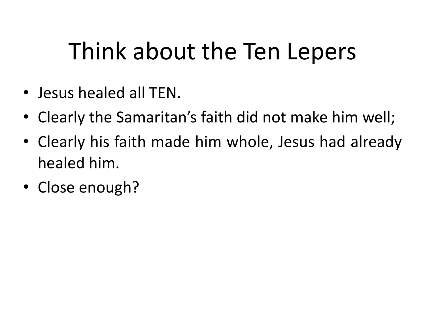# Think about the Ten Lepers

- Jesus healed all TEN.
- Clearly the Samaritan's faith did not make him well;
- Clearly his faith made him whole, Jesus had already healed him.
- Close enough?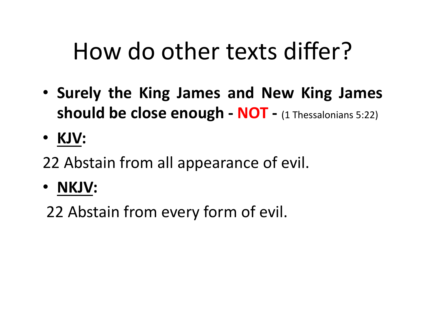- **Surely the King James and New King James should be close enough - NOT** - (1 Thessalonians 5:22)
- **KJV:**
- 22 Abstain from all appearance of evil.
- **NKJV:**

22 Abstain from every form of evil.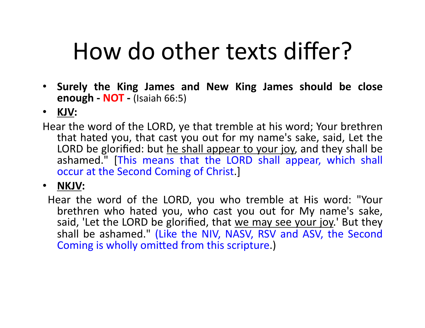- Surely the King James and New King James should be close **enough - NOT - (Isaiah 66:5)**
- **KJV:**
- Hear the word of the LORD, ye that tremble at his word; Your brethren that hated you, that cast you out for my name's sake, said, Let the LORD be glorified: but he shall appear to your joy, and they shall be ashamed." [This means that the LORD shall appear, which shall occur at the Second Coming of Christ.]

• **NKJV:** 

Hear the word of the LORD, you who tremble at His word: "Your brethren who hated you, who cast you out for My name's sake, said, 'Let the LORD be glorified, that we may see your joy.' But they shall be ashamed." (Like the NIV, NASV, RSV and ASV, the Second Coming is wholly omitted from this scripture.)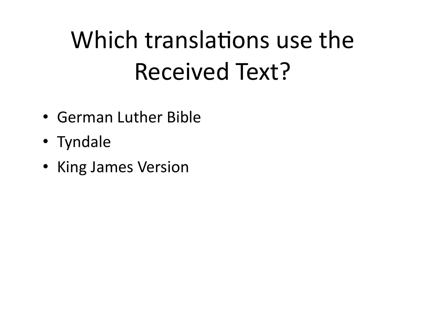# Which translations use the Received Text?

- German Luther Bible
- Tyndale
- King James Version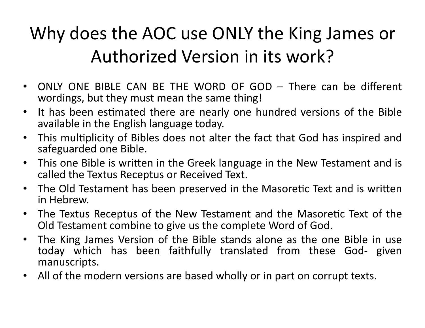#### Why does the AOC use ONLY the King James or Authorized Version in its work?

- ONLY ONE BIBLE CAN BE THE WORD OF GOD There can be different wordings, but they must mean the same thing!
- It has been estimated there are nearly one hundred versions of the Bible available in the English language today.
- This multiplicity of Bibles does not alter the fact that God has inspired and safeguarded one Bible.
- This one Bible is written in the Greek language in the New Testament and is called the Textus Receptus or Received Text.
- The Old Testament has been preserved in the Masoretic Text and is written in Hebrew.
- The Textus Receptus of the New Testament and the Masoretic Text of the Old Testament combine to give us the complete Word of God.
- The King James Version of the Bible stands alone as the one Bible in use today which has been faithfully translated from these God- given manuscripts.
- All of the modern versions are based wholly or in part on corrupt texts.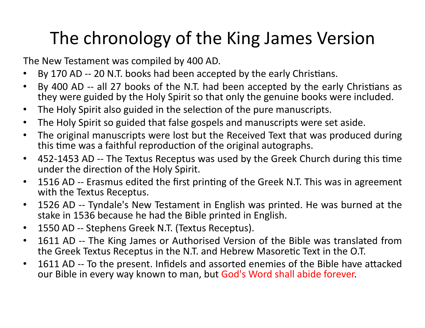#### The chronology of the King James Version

The New Testament was compiled by 400 AD.

- By 170 AD -- 20 N.T. books had been accepted by the early Christians.
- By 400 AD -- all 27 books of the N.T. had been accepted by the early Christians as they were guided by the Holy Spirit so that only the genuine books were included.
- The Holy Spirit also guided in the selection of the pure manuscripts.
- The Holy Spirit so guided that false gospels and manuscripts were set aside.
- The original manuscripts were lost but the Received Text that was produced during this time was a faithful reproduction of the original autographs.
- 452-1453 AD -- The Textus Receptus was used by the Greek Church during this time under the direction of the Holy Spirit.
- 1516 AD -- Erasmus edited the first printing of the Greek N.T. This was in agreement with the Textus Receptus.
- 1526 AD -- Tyndale's New Testament in English was printed. He was burned at the stake in 1536 because he had the Bible printed in English.
- 1550 AD -- Stephens Greek N.T. (Textus Receptus).
- 1611 AD -- The King James or Authorised Version of the Bible was translated from the Greek Textus Receptus in the N.T. and Hebrew Masoretic Text in the O.T.
- 1611 AD -- To the present. Infidels and assorted enemies of the Bible have attacked our Bible in every way known to man, but God's Word shall abide forever.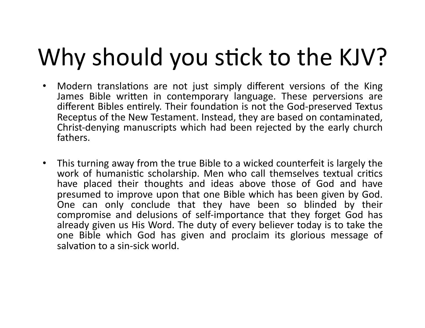# Why should you stick to the KJV?

- Modern translations are not just simply different versions of the King James Bible written in contemporary language. These perversions are different Bibles entirely. Their foundation is not the God-preserved Textus Receptus of the New Testament. Instead, they are based on contaminated, Christ-denying manuscripts which had been rejected by the early church fathers.
- This turning away from the true Bible to a wicked counterfeit is largely the work of humanistic scholarship. Men who call themselves textual critics have placed their thoughts and ideas above those of God and have presumed to improve upon that one Bible which has been given by God. One can only conclude that they have been so blinded by their compromise and delusions of self-importance that they forget God has already given us His Word. The duty of every believer today is to take the one Bible which God has given and proclaim its glorious message of salvation to a sin-sick world.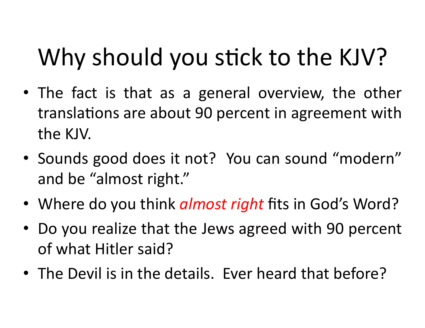# Why should you stick to the KJV?

- The fact is that as a general overview, the other translations are about 90 percent in agreement with the KJV.
- Sounds good does it not? You can sound "modern" and be "almost right."
- Where do you think *almost right* fits in God's Word?
- Do you realize that the Jews agreed with 90 percent of what Hitler said?
- The Devil is in the details. Ever heard that before?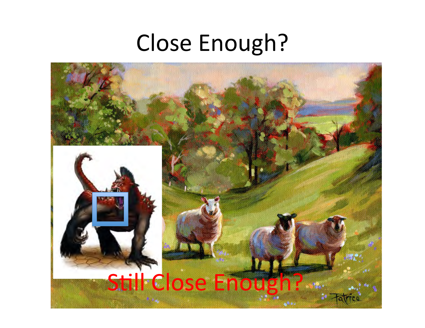#### Close Enough?

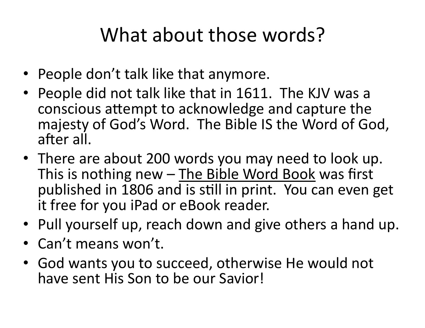#### What about those words?

- People don't talk like that anymore.
- People did not talk like that in 1611. The KJV was a conscious attempt to acknowledge and capture the majesty of God's Word. The Bible IS the Word of God, after all.
- There are about 200 words you may need to look up. This is nothing new  $-$  The Bible Word Book was first published in 1806 and is still in print. You can even get it free for you iPad or eBook reader.
- Pull yourself up, reach down and give others a hand up.
- Can't means won't.
- God wants you to succeed, otherwise He would not have sent His Son to be our Savior!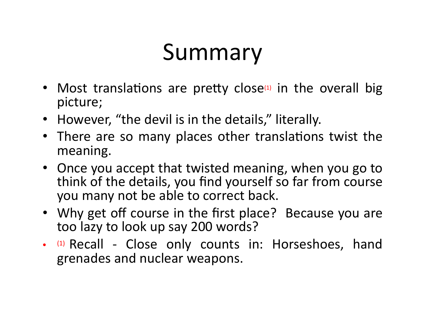### Summary

- Most translations are pretty close $\alpha$  in the overall big picture;
- However, "the devil is in the details," literally.
- There are so many places other translations twist the meaning.
- Once you accept that twisted meaning, when you go to think of the details, you find yourself so far from course you many not be able to correct back.
- Why get off course in the first place? Because you are too lazy to look up say 200 words?
- (1) Recall Close only counts in: Horseshoes, hand grenades and nuclear weapons.